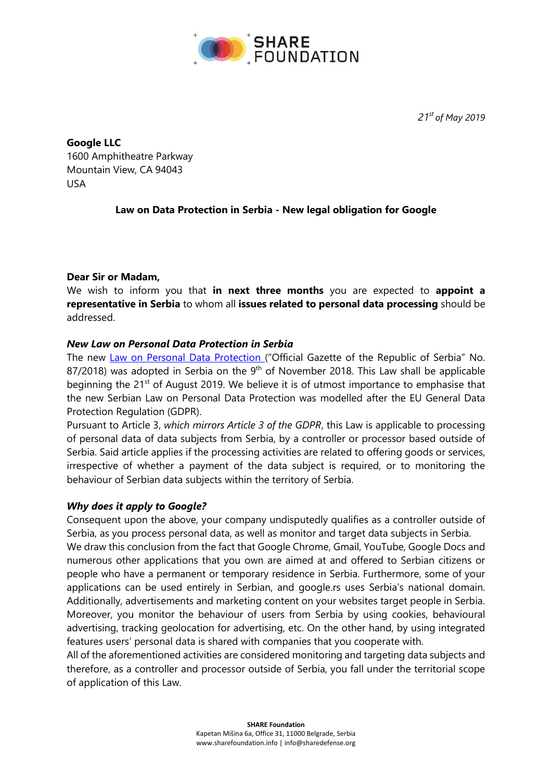

*21 st of May 2019*

## **Google LLC**

1600 Amphitheatre Parkway Mountain View, CA 94043 USA

# **Law on Data Protection in Serbia - New legal obligation for Google**

### **Dear Sir or Madam,**

We wish to inform you that **in next three months** you are expected to **appoint a representative in Serbia** to whom all **issues related to personal data processing** should be addressed.

### *New Law on Personal Data Protection in Serbia*

The new [Law on Personal Data Protection](http://www.pravno-informacioni-sistem.rs/SlGlasnikPortal/eli/rep/sgrs/skupstina/zakon/2018/87/13/reg) ("Official Gazette of the Republic of Serbia" No.  $87/2018$ ) was adopted in Serbia on the  $9<sup>th</sup>$  of November 2018. This Law shall be applicable beginning the 21<sup>st</sup> of August 2019. We believe it is of utmost importance to emphasise that the new Serbian Law on Personal Data Protection was modelled after the EU General Data Protection Regulation (GDPR).

Pursuant to Article 3, *which mirrors Article 3 of the GDPR*, this Law is applicable to processing of personal data of data subjects from Serbia, by a controller or processor based outside of Serbia. Said article applies if the processing activities are related to offering goods or services, irrespective of whether a payment of the data subject is required, or to monitoring the behaviour of Serbian data subjects within the territory of Serbia.

## *Why does it apply to Google?*

Consequent upon the above, your company undisputedly qualifies as a controller outside of Serbia, as you process personal data, as well as monitor and target data subjects in Serbia. We draw this conclusion from the fact that Google Chrome, Gmail, YouTube, Google Docs and numerous other applications that you own are aimed at and offered to Serbian citizens or people who have a permanent or temporary residence in Serbia. Furthermore, some of your applications can be used entirely in Serbian, and google.rs uses Serbia's national domain. Additionally, advertisements and marketing content on your websites target people in Serbia. Moreover, you monitor the behaviour of users from Serbia by using cookies, behavioural advertising, tracking geolocation for advertising, etc. On the other hand, by using integrated features users' personal data is shared with companies that you cooperate with.

All of the aforementioned activities are considered monitoring and targeting data subjects and therefore, as a controller and processor outside of Serbia, you fall under the territorial scope of application of this Law.